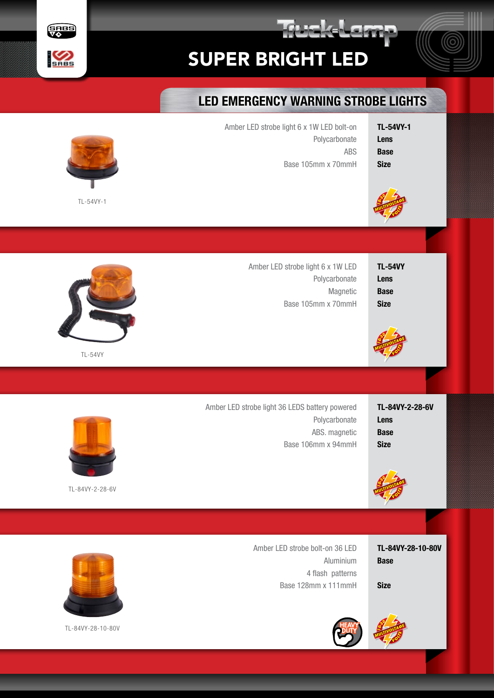

skelen



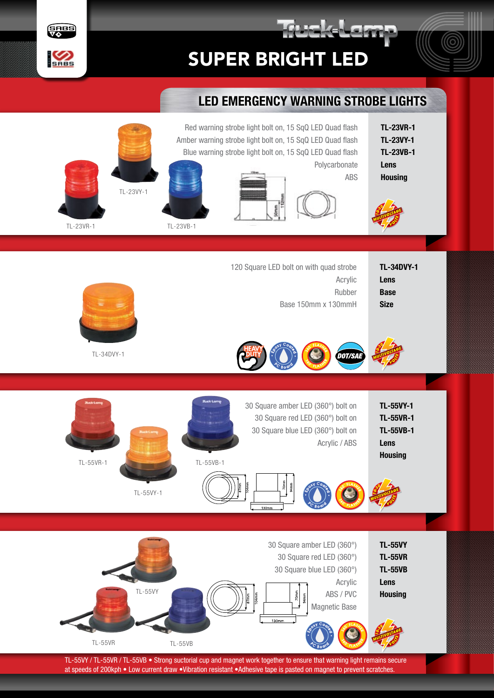



## LED EMERGENCY WARNING STROBE LIGHTS

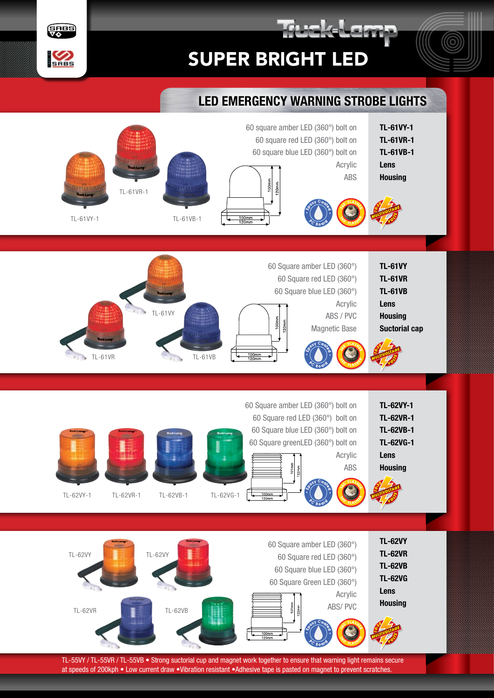

Frek-Lem





TL-55VY / TL-55VR / TL-55VB • Strong suctorial cup and magnet work together to ensure that warning light remains secure at speeds of 200kph • Low current draw •Vibration resistant •Adhesive tape is pasted on magnet to prevent scratches.